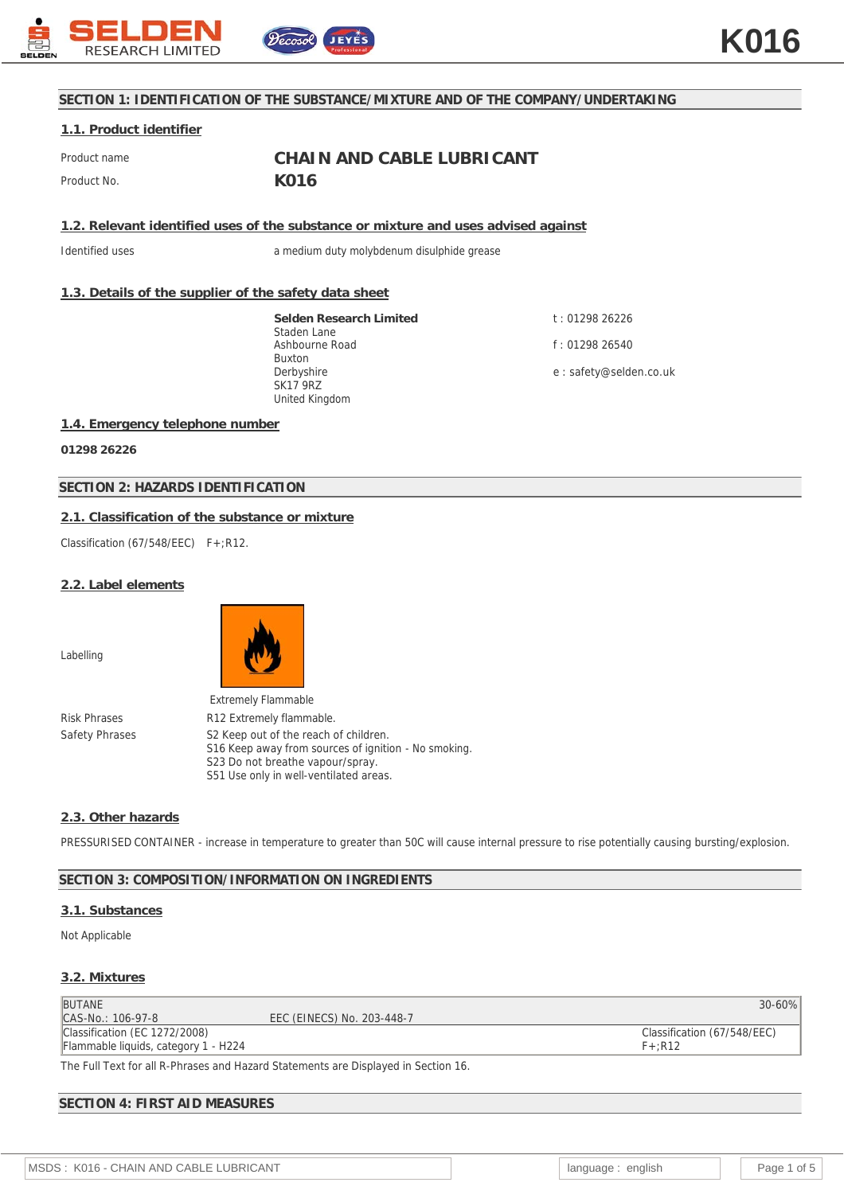

# **SECTION 1: IDENTIFICATION OF THE SUBSTANCE/MIXTURE AND OF THE COMPANY/UNDERTAKING**

#### **1.1. Product identifier**

Product name **CHAIN AND CABLE LUBRICANT** Product No. **K016** 

**1.2. Relevant identified uses of the substance or mixture and uses advised against**

Identified uses a medium duty molybdenum disulphide grease

# **1.3. Details of the supplier of the safety data sheet**

**Selden Research Limited** Staden Lane Ashbourne Road Buxton Derbyshire SK17 9RZ United Kingdom

t : 01298 26226 f : 01298 26540

e : safety@selden.co.uk

#### **1.4. Emergency telephone number**

**01298 26226**

# **SECTION 2: HAZARDS IDENTIFICATION**

# **2.1. Classification of the substance or mixture**

Classification (67/548/EEC) F+:R12.

#### **2.2. Label elements**

Labelling



Extremely Flammable Risk Phrases R12 Extremely flammable. Safety Phrases S2 Keep out of the reach of children. S16 Keep away from sources of ignition - No smoking. S23 Do not breathe vapour/spray. S51 Use only in well-ventilated areas.

#### **2.3. Other hazards**

PRESSURISED CONTAINER - increase in temperature to greater than 50C will cause internal pressure to rise potentially causing bursting/explosion.

#### **SECTION 3: COMPOSITION/INFORMATION ON INGREDIENTS**

# **3.1. Substances**

Not Applicable

#### **3.2. Mixtures**

| <b>BUTANE</b>                        |                            | $30 - 60%$                  |
|--------------------------------------|----------------------------|-----------------------------|
| CAS-No.: 106-97-8                    | EEC (EINECS) No. 203-448-7 |                             |
| Classification (EC 1272/2008)        |                            | Classification (67/548/EEC) |
| Flammable liquids, category 1 - H224 |                            | $F+$ :R12                   |
|                                      |                            |                             |

The Full Text for all R-Phrases and Hazard Statements are Displayed in Section 16.

# **SECTION 4: FIRST AID MEASURES**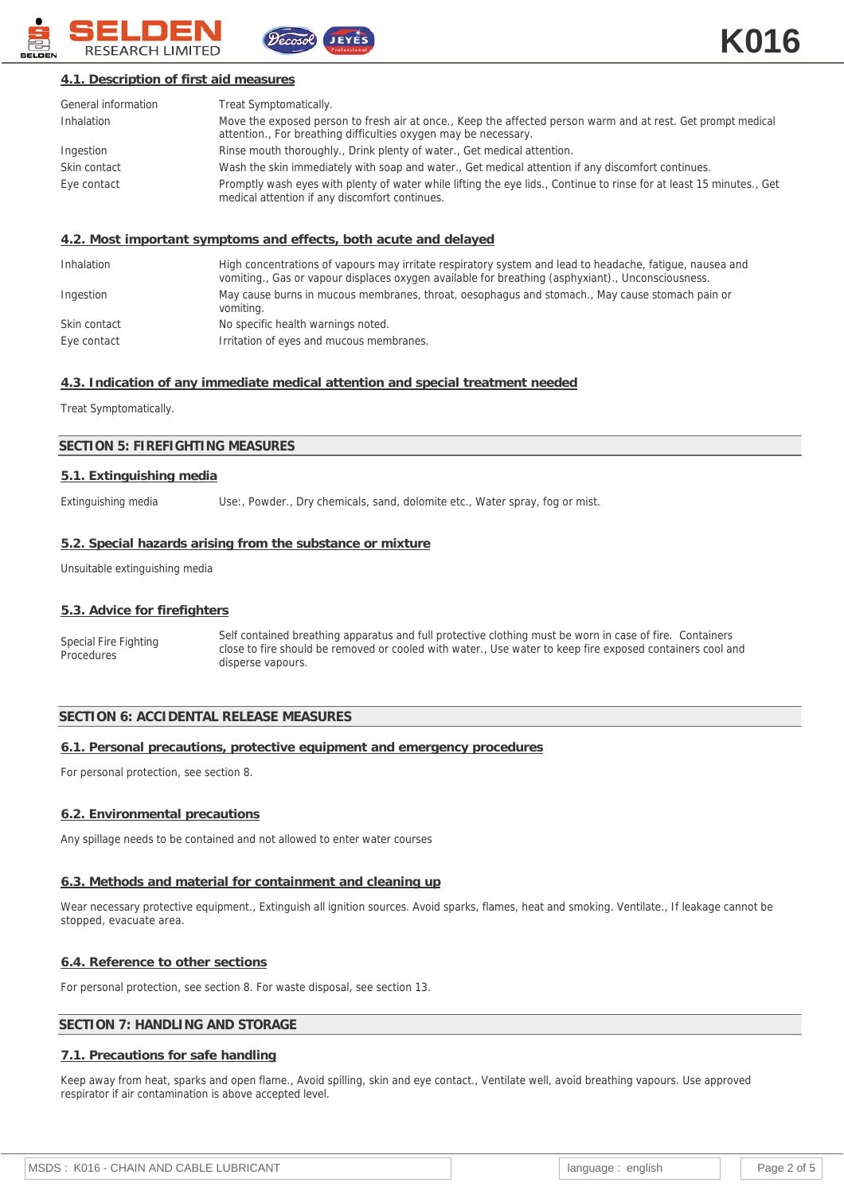

# **4.1. Description of first aid measures**

| General information | Treat Symptomatically.                                                                                                                                                          |
|---------------------|---------------------------------------------------------------------------------------------------------------------------------------------------------------------------------|
| Inhalation          | Move the exposed person to fresh air at once., Keep the affected person warm and at rest. Get prompt medical<br>attention., For breathing difficulties oxygen may be necessary. |
| Ingestion           | Rinse mouth thoroughly., Drink plenty of water., Get medical attention.                                                                                                         |
| Skin contact        | Wash the skin immediately with soap and water., Get medical attention if any discomfort continues.                                                                              |
| Eye contact         | Promptly wash eyes with plenty of water while lifting the eye lids., Continue to rinse for at least 15 minutes., Get<br>medical attention if any discomfort continues.          |

#### **4.2. Most important symptoms and effects, both acute and delayed**

| Inhalation   | High concentrations of vapours may irritate respiratory system and lead to headache, fatigue, nausea and<br>vomiting., Gas or vapour displaces oxygen available for breathing (asphyxiant)., Unconsciousness. |
|--------------|---------------------------------------------------------------------------------------------------------------------------------------------------------------------------------------------------------------|
| Ingestion    | May cause burns in mucous membranes, throat, oesophagus and stomach., May cause stomach pain or<br>vomiting.                                                                                                  |
| Skin contact | No specific health warnings noted.                                                                                                                                                                            |
| Eye contact  | Irritation of eyes and mucous membranes.                                                                                                                                                                      |

#### **4.3. Indication of any immediate medical attention and special treatment needed**

Treat Symptomatically.

#### **SECTION 5: FIREFIGHTING MEASURES**

#### **5.1. Extinguishing media**

Extinguishing media Use:, Powder., Dry chemicals, sand, dolomite etc., Water spray, fog or mist.

#### **5.2. Special hazards arising from the substance or mixture**

Unsuitable extinguishing media

#### **5.3. Advice for firefighters**

Special Fire Fighting Procedures Self contained breathing apparatus and full protective clothing must be worn in case of fire. Containers close to fire should be removed or cooled with water., Use water to keep fire exposed containers cool and disperse vapours.

#### **SECTION 6: ACCIDENTAL RELEASE MEASURES**

#### **6.1. Personal precautions, protective equipment and emergency procedures**

For personal protection, see section 8.

#### **6.2. Environmental precautions**

Any spillage needs to be contained and not allowed to enter water courses

#### **6.3. Methods and material for containment and cleaning up**

Wear necessary protective equipment., Extinguish all ignition sources. Avoid sparks, flames, heat and smoking. Ventilate., If leakage cannot be stopped, evacuate area.

#### **6.4. Reference to other sections**

For personal protection, see section 8. For waste disposal, see section 13.

# **SECTION 7: HANDLING AND STORAGE**

#### **7.1. Precautions for safe handling**

Keep away from heat, sparks and open flame., Avoid spilling, skin and eye contact., Ventilate well, avoid breathing vapours. Use approved respirator if air contamination is above accepted level.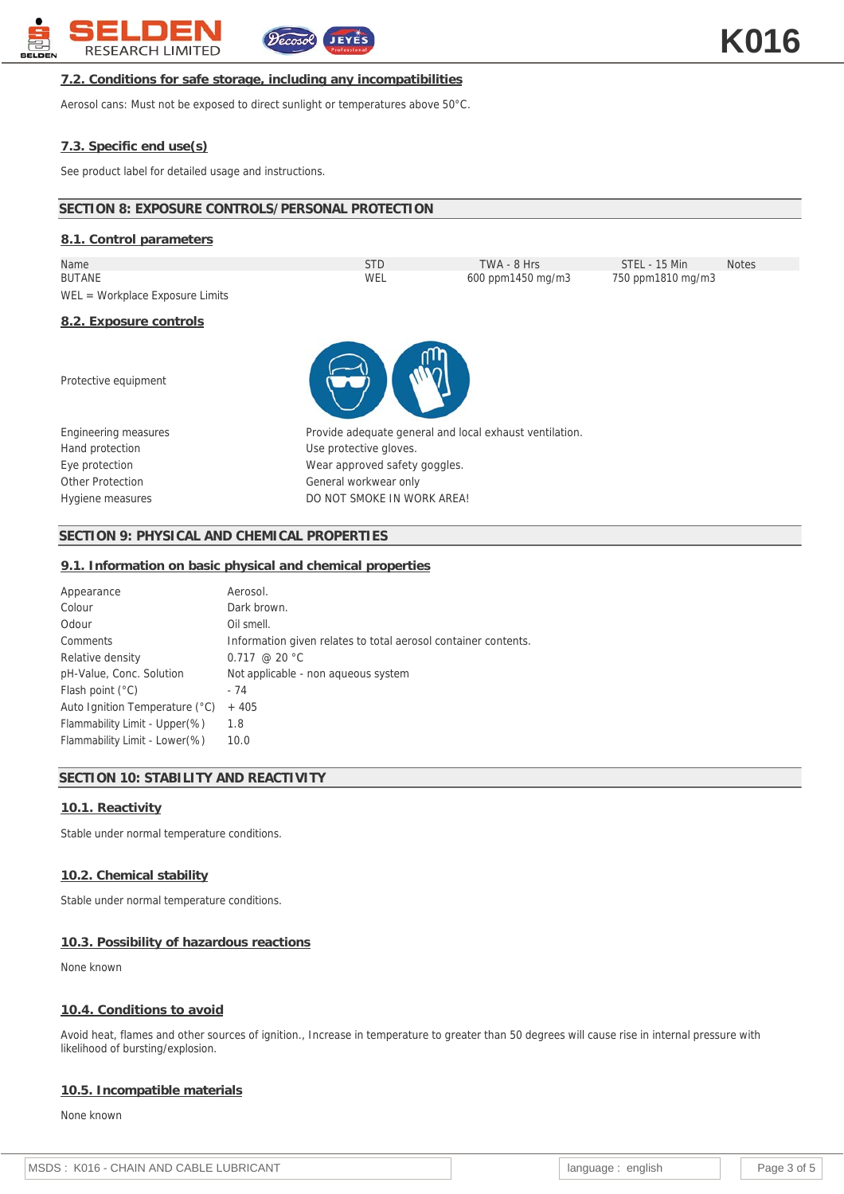

### **7.2. Conditions for safe storage, including any incompatibilities**

Aerosol cans: Must not be exposed to direct sunlight or temperatures above 50°C.

# **7.3. Specific end use(s)**

See product label for detailed usage and instructions.

# **SECTION 8: EXPOSURE CONTROLS/PERSONAL PROTECTION**

| 8.1. Control parameters           |                                                         |                   |                   |              |
|-----------------------------------|---------------------------------------------------------|-------------------|-------------------|--------------|
| Name                              | <b>STD</b>                                              | TWA - 8 Hrs       | STEL - 15 Min     | <b>Notes</b> |
| <b>BUTANE</b>                     | WEL                                                     | 600 ppm1450 mg/m3 | 750 ppm1810 mg/m3 |              |
| $WEL = Workplace Exposure Limits$ |                                                         |                   |                   |              |
| 8.2. Exposure controls            |                                                         |                   |                   |              |
| Protective equipment              |                                                         |                   |                   |              |
| Engineering measures              | Provide adequate general and local exhaust ventilation. |                   |                   |              |
| Hand protection                   | Use protective gloves.                                  |                   |                   |              |

**SECTION 9: PHYSICAL AND CHEMICAL PROPERTIES**

#### **9.1. Information on basic physical and chemical properties**

Eye protection **Example 3** Wear approved safety goggles. Other Protection Charles Controller Controller General workwear only

Hygiene measures **Example 20 Inc.** DO NOT SMOKE IN WORK AREA!

| Appearance                     | Aerosol.                                                       |
|--------------------------------|----------------------------------------------------------------|
| Colour                         | Dark brown.                                                    |
| Odour                          | Oil smell.                                                     |
| Comments                       | Information given relates to total aerosol container contents. |
| Relative density               | $0.717 \ @ 20 °C$                                              |
| pH-Value, Conc. Solution       | Not applicable - non aqueous system                            |
| Flash point $(^{\circ}C)$      | - 74                                                           |
| Auto Ignition Temperature (°C) | $+405$                                                         |
| Flammability Limit - Upper(%)  | 1.8                                                            |
| Flammability Limit - Lower(%)  | 10.0                                                           |

# **SECTION 10: STABILITY AND REACTIVITY**

#### **10.1. Reactivity**

Stable under normal temperature conditions.

#### **10.2. Chemical stability**

Stable under normal temperature conditions.

#### **10.3. Possibility of hazardous reactions**

None known

#### **10.4. Conditions to avoid**

Avoid heat, flames and other sources of ignition., Increase in temperature to greater than 50 degrees will cause rise in internal pressure with likelihood of bursting/explosion.

#### **10.5. Incompatible materials**

None known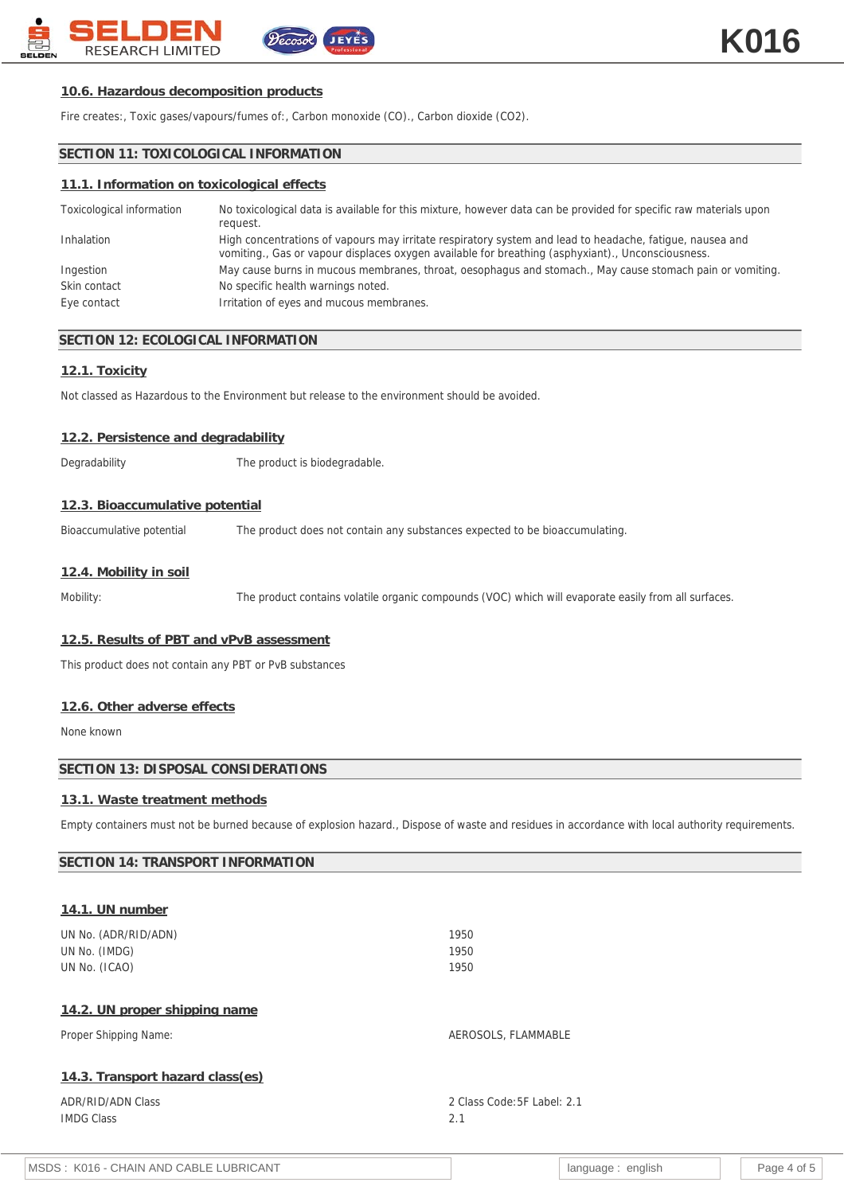

### **10.6. Hazardous decomposition products**

Fire creates:, Toxic gases/vapours/fumes of:, Carbon monoxide (CO)., Carbon dioxide (CO2).

# **SECTION 11: TOXICOLOGICAL INFORMATION**

#### **11.1. Information on toxicological effects**

| Toxicological information | No toxicological data is available for this mixture, however data can be provided for specific raw materials upon<br>request.                                                                                 |
|---------------------------|---------------------------------------------------------------------------------------------------------------------------------------------------------------------------------------------------------------|
| Inhalation                | High concentrations of vapours may irritate respiratory system and lead to headache, fatigue, nausea and<br>vomiting., Gas or vapour displaces oxygen available for breathing (asphyxiant)., Unconsciousness. |
| Ingestion                 | May cause burns in mucous membranes, throat, oesophagus and stomach., May cause stomach pain or vomiting.                                                                                                     |
| Skin contact              | No specific health warnings noted.                                                                                                                                                                            |
| Eye contact               | Irritation of eyes and mucous membranes.                                                                                                                                                                      |

#### **SECTION 12: ECOLOGICAL INFORMATION**

# **12.1. Toxicity**

Not classed as Hazardous to the Environment but release to the environment should be avoided.

#### **12.2. Persistence and degradability**

Degradability The product is biodegradable.

# **12.3. Bioaccumulative potential**

Bioaccumulative potential The product does not contain any substances expected to be bioaccumulating.

#### **12.4. Mobility in soil**

Mobility: The product contains volatile organic compounds (VOC) which will evaporate easily from all surfaces.

#### **12.5. Results of PBT and vPvB assessment**

This product does not contain any PBT or PvB substances

#### **12.6. Other adverse effects**

None known

# **SECTION 13: DISPOSAL CONSIDERATIONS**

# **13.1. Waste treatment methods**

Empty containers must not be burned because of explosion hazard., Dispose of waste and residues in accordance with local authority requirements.

| SECTION 14: TRANSPORT INFORMATION |                             |
|-----------------------------------|-----------------------------|
|                                   |                             |
| 14.1. UN number                   |                             |
| UN No. (ADR/RID/ADN)              | 1950                        |
| UN No. (IMDG)                     | 1950                        |
| UN No. (ICAO)                     | 1950                        |
| 14.2. UN proper shipping name     |                             |
| Proper Shipping Name:             | AEROSOLS, FLAMMABLE         |
| 14.3. Transport hazard class(es)  |                             |
| <b>ADR/RID/ADN Class</b>          | 2 Class Code: 5F Label: 2.1 |
| <b>IMDG Class</b>                 | 2.1                         |
|                                   |                             |